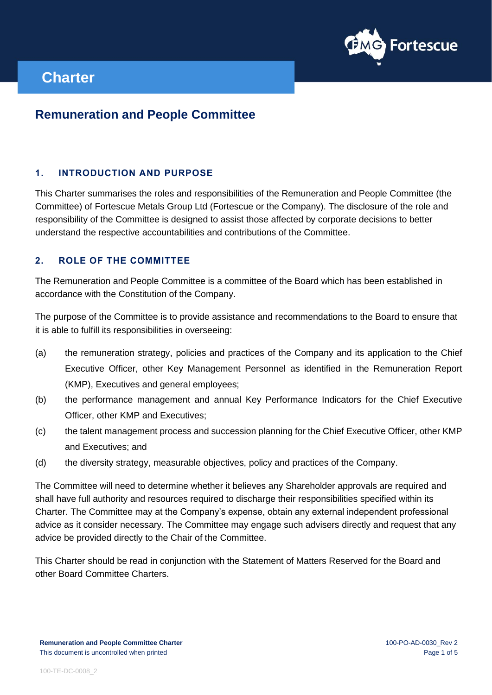

# **Charter**

# **Remuneration and People Committee**

# **1. INTRODUCTION AND PURPOSE**

This Charter summarises the roles and responsibilities of the Remuneration and People Committee (the Committee) of Fortescue Metals Group Ltd (Fortescue or the Company). The disclosure of the role and responsibility of the Committee is designed to assist those affected by corporate decisions to better understand the respective accountabilities and contributions of the Committee.

# **2. ROLE OF THE COMMITTEE**

The Remuneration and People Committee is a committee of the Board which has been established in accordance with the Constitution of the Company.

The purpose of the Committee is to provide assistance and recommendations to the Board to ensure that it is able to fulfill its responsibilities in overseeing:

- (a) the remuneration strategy, policies and practices of the Company and its application to the Chief Executive Officer, other Key Management Personnel as identified in the Remuneration Report (KMP), Executives and general employees;
- (b) the performance management and annual Key Performance Indicators for the Chief Executive Officer, other KMP and Executives;
- (c) the talent management process and succession planning for the Chief Executive Officer, other KMP and Executives; and
- (d) the diversity strategy, measurable objectives, policy and practices of the Company.

The Committee will need to determine whether it believes any Shareholder approvals are required and shall have full authority and resources required to discharge their responsibilities specified within its Charter. The Committee may at the Company's expense, obtain any external independent professional advice as it consider necessary. The Committee may engage such advisers directly and request that any advice be provided directly to the Chair of the Committee.

This Charter should be read in conjunction with the Statement of Matters Reserved for the Board and other Board Committee Charters.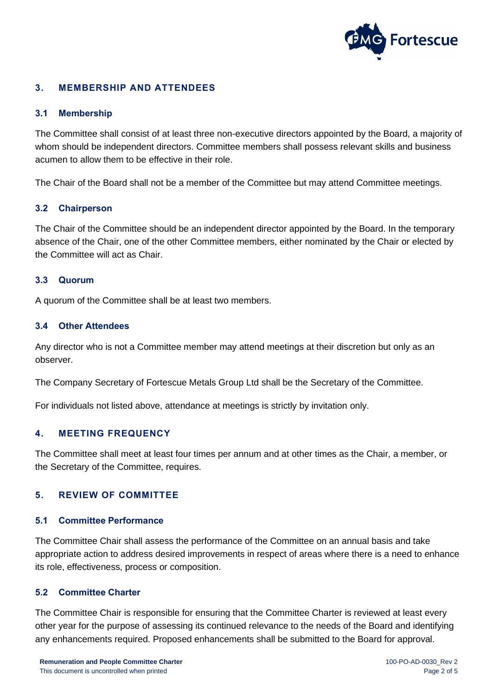

# **3. MEMBERSHIP AND ATTENDEES**

# **3.1 Membership**

The Committee shall consist of at least three non-executive directors appointed by the Board, a majority of whom should be independent directors. Committee members shall possess relevant skills and business acumen to allow them to be effective in their role.

The Chair of the Board shall not be a member of the Committee but may attend Committee meetings.

## **3.2 Chairperson**

The Chair of the Committee should be an independent director appointed by the Board. In the temporary absence of the Chair, one of the other Committee members, either nominated by the Chair or elected by the Committee will act as Chair.

# **3.3 Quorum**

A quorum of the Committee shall be at least two members.

# **3.4 Other Attendees**

Any director who is not a Committee member may attend meetings at their discretion but only as an observer.

The Company Secretary of Fortescue Metals Group Ltd shall be the Secretary of the Committee.

For individuals not listed above, attendance at meetings is strictly by invitation only.

# **4. MEETING FREQUENCY**

The Committee shall meet at least four times per annum and at other times as the Chair, a member, or the Secretary of the Committee, requires.

## **5. REVIEW OF COMMITTEE**

## **5.1 Committee Performance**

The Committee Chair shall assess the performance of the Committee on an annual basis and take appropriate action to address desired improvements in respect of areas where there is a need to enhance its role, effectiveness, process or composition.

## **5.2 Committee Charter**

The Committee Chair is responsible for ensuring that the Committee Charter is reviewed at least every other year for the purpose of assessing its continued relevance to the needs of the Board and identifying any enhancements required. Proposed enhancements shall be submitted to the Board for approval.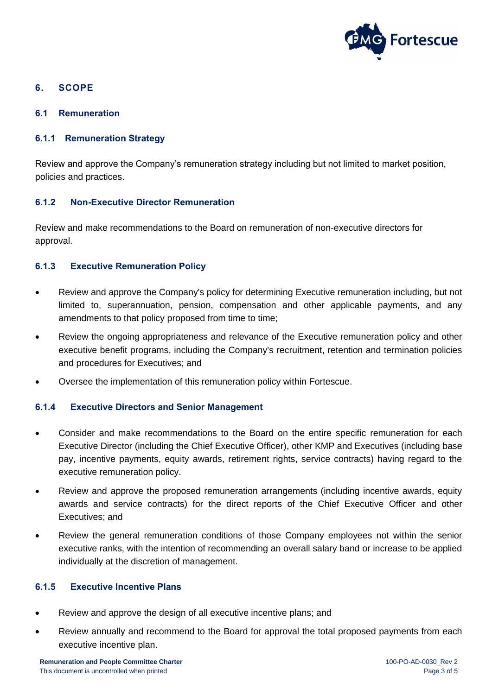

# **6. SCOPE**

**6.1 Remuneration** 

# **6.1.1 Remuneration Strategy**

Review and approve the Company's remuneration strategy including but not limited to market position, policies and practices.

# **6.1.2 Non-Executive Director Remuneration**

Review and make recommendations to the Board on remuneration of non-executive directors for approval.

# **6.1.3 Executive Remuneration Policy**

- Review and approve the Company's policy for determining Executive remuneration including, but not limited to, superannuation, pension, compensation and other applicable payments, and any amendments to that policy proposed from time to time;
- Review the ongoing appropriateness and relevance of the Executive remuneration policy and other executive benefit programs, including the Company's recruitment, retention and termination policies and procedures for Executives; and
- Oversee the implementation of this remuneration policy within Fortescue.

# **6.1.4 Executive Directors and Senior Management**

- Consider and make recommendations to the Board on the entire specific remuneration for each Executive Director (including the Chief Executive Officer), other KMP and Executives (including base pay, incentive payments, equity awards, retirement rights, service contracts) having regard to the executive remuneration policy.
- Review and approve the proposed remuneration arrangements (including incentive awards, equity awards and service contracts) for the direct reports of the Chief Executive Officer and other Executives; and
- Review the general remuneration conditions of those Company employees not within the senior executive ranks, with the intention of recommending an overall salary band or increase to be applied individually at the discretion of management.

## **6.1.5 Executive Incentive Plans**

- Review and approve the design of all executive incentive plans; and
- Review annually and recommend to the Board for approval the total proposed payments from each executive incentive plan.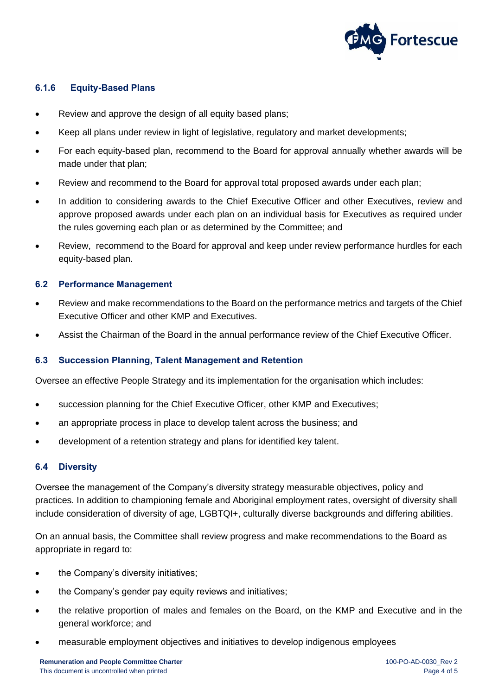

# **6.1.6 Equity-Based Plans**

- Review and approve the design of all equity based plans;
- Keep all plans under review in light of legislative, regulatory and market developments;
- For each equity-based plan, recommend to the Board for approval annually whether awards will be made under that plan;
- Review and recommend to the Board for approval total proposed awards under each plan;
- In addition to considering awards to the Chief Executive Officer and other Executives, review and approve proposed awards under each plan on an individual basis for Executives as required under the rules governing each plan or as determined by the Committee; and
- Review, recommend to the Board for approval and keep under review performance hurdles for each equity-based plan.

# **6.2 Performance Management**

- Review and make recommendations to the Board on the performance metrics and targets of the Chief Executive Officer and other KMP and Executives.
- Assist the Chairman of the Board in the annual performance review of the Chief Executive Officer.

## **6.3 Succession Planning, Talent Management and Retention**

Oversee an effective People Strategy and its implementation for the organisation which includes:

- succession planning for the Chief Executive Officer, other KMP and Executives;
- an appropriate process in place to develop talent across the business; and
- development of a retention strategy and plans for identified key talent.

## **6.4 Diversity**

Oversee the management of the Company's diversity strategy measurable objectives, policy and practices. In addition to championing female and Aboriginal employment rates, oversight of diversity shall include consideration of diversity of age, LGBTQI+, culturally diverse backgrounds and differing abilities.

On an annual basis, the Committee shall review progress and make recommendations to the Board as appropriate in regard to:

- the Company's diversity initiatives;
- the Company's gender pay equity reviews and initiatives;
- the relative proportion of males and females on the Board, on the KMP and Executive and in the general workforce; and
- measurable employment objectives and initiatives to develop indigenous employees